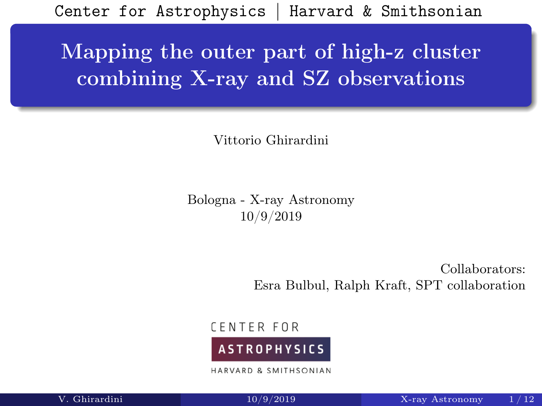<span id="page-0-0"></span>Center for Astrophysics | Harvard & Smithsonian

# Mapping the outer part of high-z cluster combining X-ray and SZ observations

Vittorio Ghirardini

Bologna - X-ray Astronomy 10/9/2019

> Collaborators: Esra Bulbul, Ralph Kraft, SPT collaboration

**CENTER FOR** 



HARVARD & SMITHSONIAN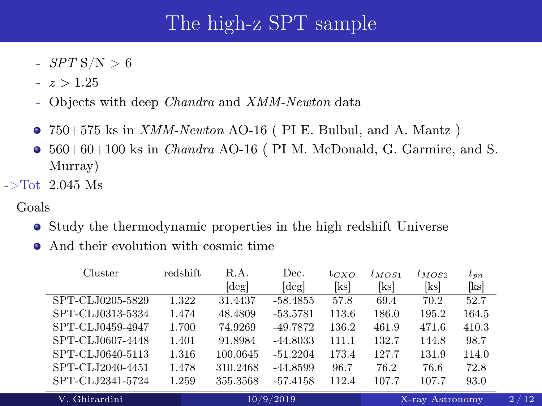# The high-z SPT sample

- $-$  SPT S/N  $> 6$
- $z > 1.25$
- Objects with deep Chandra and XMM-Newton data
- $\bullet$  750+575 ks in *XMM-Newton* AO-16 (PI E. Bulbul, and A. Mantz)
- $\bullet$  560+60+100 ks in *Chandra* AO-16 (PI M. McDonald, G. Garmire, and S. Murray)
- $-$ >Tot 2.045 Ms

#### Goals

J.

- Study the thermodynamic properties in the high redshift Universe
- And their evolution with cosmic time

| Cluster          | redshift | R.A.           | Dec.                       | $t_{CXO}$ | $t_{MOS1}$ | $t_{MOS2}$      | $t_{pn}$ |  |
|------------------|----------|----------------|----------------------------|-----------|------------|-----------------|----------|--|
|                  |          | $[\text{deg}]$ | $\lceil \text{deg} \rceil$ | [ks]      | [ks]       | [ks]            | [ks]     |  |
| SPT-CLJ0205-5829 | 1.322    | 31.4437        | $-58.4855$                 | 57.8      | 69.4       | 70.2            | 52.7     |  |
| SPT-CLJ0313-5334 | 1.474    | 48.4809        | $-53.5781$                 | 113.6     | 186.0      | 195.2           | 164.5    |  |
| SPT-CLJ0459-4947 | 1.700    | 74.9269        | $-49.7872$                 | 136.2     | 461.9      | 471.6           | 410.3    |  |
| SPT-CLJ0607-4448 | 1.401    | 91.8984        | $-44.8033$                 | 111.1     | 132.7      | 144.8           | 98.7     |  |
| SPT-CLJ0640-5113 | 1.316    | 100.0645       | $-51.2204$                 | 173.4     | 127.7      | 131.9           | 114.0    |  |
| SPT-CLJ2040-4451 | 1.478    | 310.2468       | $-44.8599$                 | 96.7      | 76.2       | 76.6            | 72.8     |  |
| SPT-CLJ2341-5724 | 1.259    | 355.3568       | $-57.4158$                 | 112.4     | 107.7      | 107.7           | 93.0     |  |
| V. Ghirardini    |          | 10/9/2019      |                            |           |            | X-ray Astronomy |          |  |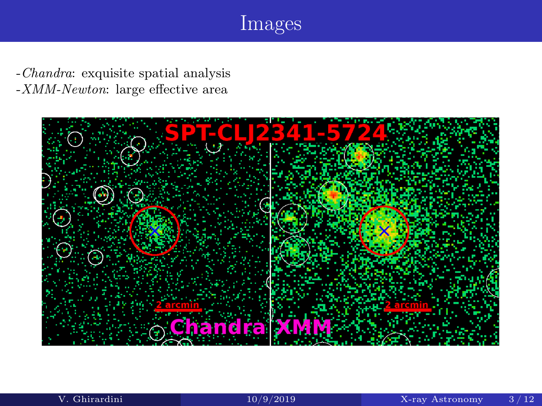# Images

-Chandra: exquisite spatial analysis -XMM-Newton: large effective area

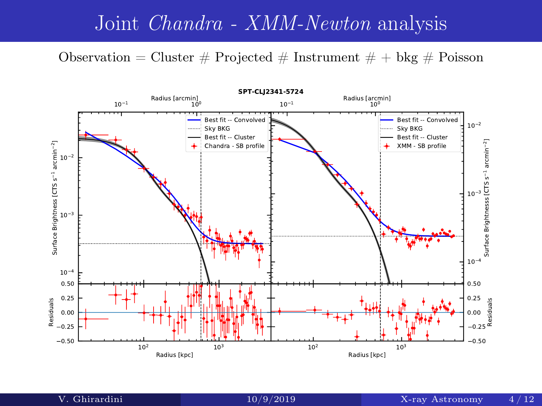### Joint Chandra - XMM-Newton analysis

Observation = Cluster  $\#$  Projected  $\#$  Instrument  $\#$  + bkg  $\#$  Poisson

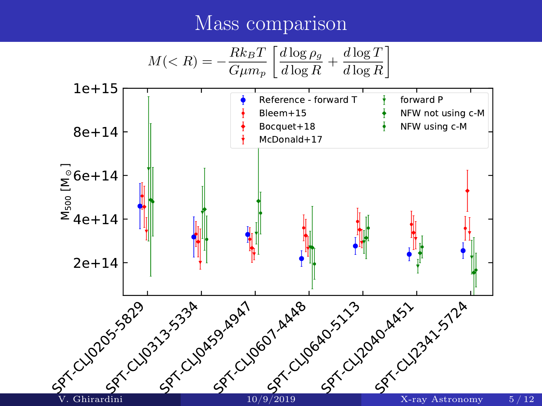### Mass comparison

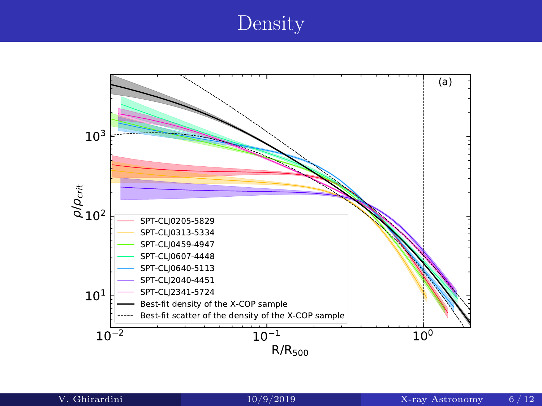## Density

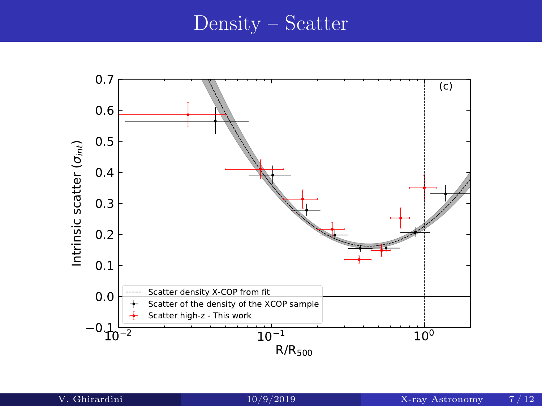#### Density – Scatter

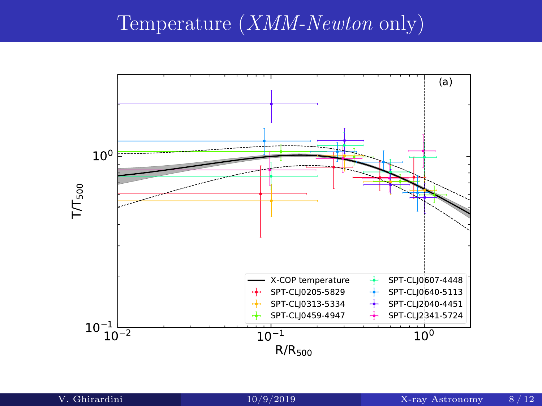## Temperature (XMM-Newton only)

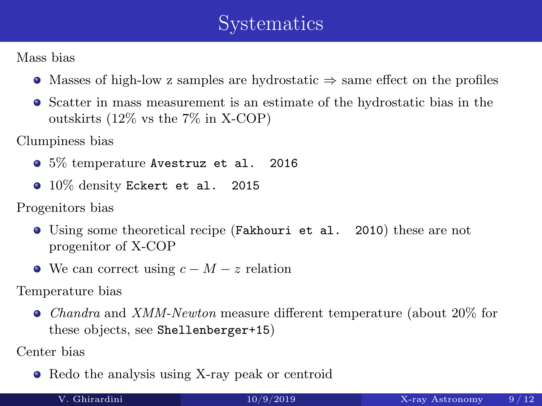# Systematics

Mass bias

- $\bullet$  Masses of high-low z samples are hydrostatic  $\Rightarrow$  same effect on the profiles
- Scatter in mass measurement is an estimate of the hydrostatic bias in the outskirts (12% vs the 7% in X-COP)

Clumpiness bias

- 5% temperature Avestruz et al. 2016
- 10% density Eckert et al. 2015

Progenitors bias

- Using some theoretical recipe (Fakhouri et al. 2010) these are not progenitor of X-COP
- We can correct using  $c M z$  relation

Temperature bias

Chandra and XMM-Newton measure different temperature (about 20% for these objects, see Shellenberger+15)

Center bias

• Redo the analysis using X-ray peak or centroid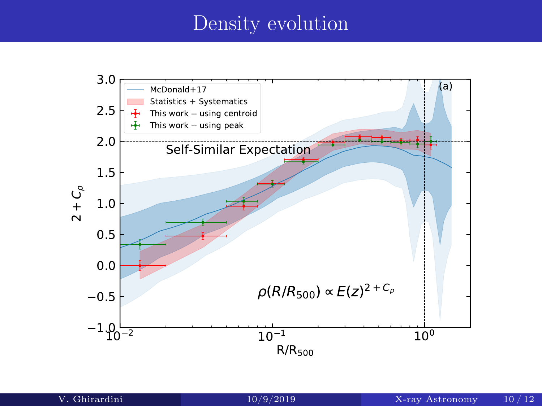# Density evolution

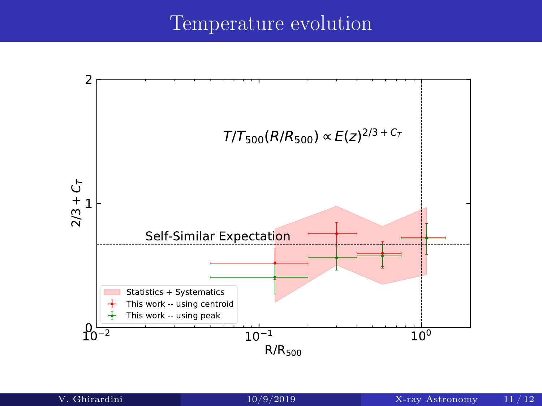### Temperature evolution